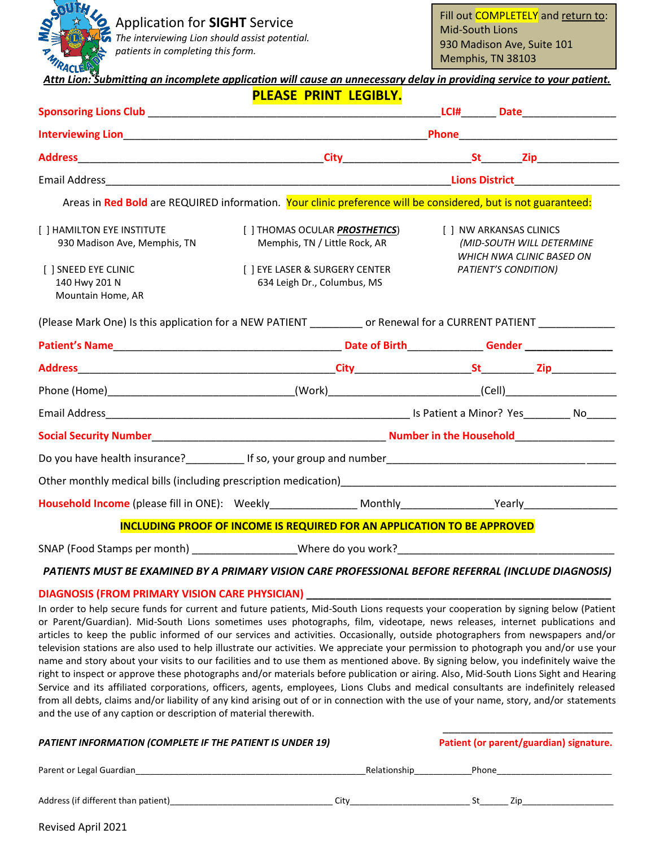Application for **SIGHT** Service

*The interviewing Lion should assist potential. patients in completing this form.*

| Attn Lion: Submitting an incomplete application will cause an unnecessary delay in providing service to your patient. |                                                                                                               |                      |                                                                                   |  |  |
|-----------------------------------------------------------------------------------------------------------------------|---------------------------------------------------------------------------------------------------------------|----------------------|-----------------------------------------------------------------------------------|--|--|
|                                                                                                                       | PLEASE PRINT LEGIBLY.                                                                                         |                      |                                                                                   |  |  |
|                                                                                                                       |                                                                                                               |                      |                                                                                   |  |  |
|                                                                                                                       |                                                                                                               |                      |                                                                                   |  |  |
|                                                                                                                       |                                                                                                               |                      |                                                                                   |  |  |
|                                                                                                                       | Areas in Red Bold are REQUIRED information. Your clinic preference will be considered, but is not guaranteed: |                      |                                                                                   |  |  |
| [ ] HAMILTON EYE INSTITUTE<br>930 Madison Ave, Memphis, TN                                                            | [ ] THOMAS OCULAR <b>PROSTHETICS</b> )<br>Memphis, TN / Little Rock, AR                                       |                      | [ ] NW ARKANSAS CLINICS<br>(MID-SOUTH WILL DETERMINE<br>WHICH NWA CLINIC BASED ON |  |  |
| [ ] SNEED EYE CLINIC<br>140 Hwy 201 N<br>Mountain Home, AR                                                            | [ ] EYE LASER & SURGERY CENTER<br>634 Leigh Dr., Columbus, MS                                                 | PATIENT'S CONDITION) |                                                                                   |  |  |
| (Please Mark One) Is this application for a NEW PATIENT ___________ or Renewal for a CURRENT PATIENT ____________     |                                                                                                               |                      |                                                                                   |  |  |
|                                                                                                                       |                                                                                                               |                      |                                                                                   |  |  |
|                                                                                                                       |                                                                                                               |                      |                                                                                   |  |  |
|                                                                                                                       |                                                                                                               |                      |                                                                                   |  |  |
|                                                                                                                       |                                                                                                               |                      |                                                                                   |  |  |
|                                                                                                                       |                                                                                                               |                      |                                                                                   |  |  |
|                                                                                                                       |                                                                                                               |                      |                                                                                   |  |  |
|                                                                                                                       |                                                                                                               |                      |                                                                                   |  |  |
|                                                                                                                       |                                                                                                               |                      |                                                                                   |  |  |
| INCLUDING PROOF OF INCOME IS REQUIRED FOR AN APPLICATION TO BE APPROVED                                               |                                                                                                               |                      |                                                                                   |  |  |
| SNAP (Food Stamps per month) Where do you work?                                                                       |                                                                                                               |                      |                                                                                   |  |  |

*PATIENTS MUST BE EXAMINED BY A PRIMARY VISION CARE PROFESSIONAL BEFORE REFERRAL (INCLUDE DIAGNOSIS)*

## **DIAGNOSIS (FROM PRIMARY VISION CARE PHYSICIAN) \_\_\_\_\_\_\_\_\_\_\_\_\_\_\_\_\_\_\_\_\_\_\_\_\_\_\_\_\_\_\_\_\_\_\_\_\_\_\_\_\_\_\_\_\_\_\_\_\_\_\_\_**

In order to help secure funds for current and future patients, Mid-South Lions requests your cooperation by signing below (Patient or Parent/Guardian). Mid-South Lions sometimes uses photographs, film, videotape, news releases, internet publications and articles to keep the public informed of our services and activities. Occasionally, outside photographers from newspapers and/or television stations are also used to help illustrate our activities. We appreciate your permission to photograph you and/or use your name and story about your visits to our facilities and to use them as mentioned above. By signing below, you indefinitely waive the right to inspect or approve these photographs and/or materials before publication or airing. Also, Mid-South Lions Sight and Hearing Service and its affiliated corporations, officers, agents, employees, Lions Clubs and medical consultants are indefinitely released from all debts, claims and/or liability of any kind arising out of or in connection with the use of your name, story, and/or statements and the use of any caption or description of material therewith.

| PATIENT INFORMATION (COMPLETE IF THE PATIENT IS UNDER 19) | Patient (or parent/guardian) signature. |       |     |
|-----------------------------------------------------------|-----------------------------------------|-------|-----|
| Parent or Legal Guardian                                  | Relationship                            | Phone |     |
| Address (if different than patient)                       | Citv                                    |       | 7in |